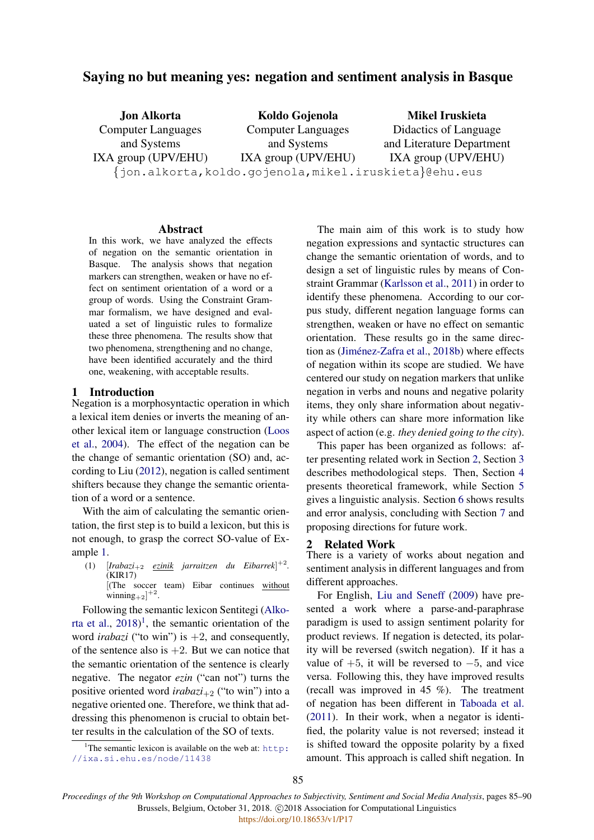# Saying no but meaning yes: negation and sentiment analysis in Basque

| <b>Jon Alkorta</b>                                     | Koldo Gojenola            | Mikel Iruskieta           |  |  |
|--------------------------------------------------------|---------------------------|---------------------------|--|--|
| <b>Computer Languages</b>                              | <b>Computer Languages</b> | Didactics of Language     |  |  |
| and Systems                                            | and Systems               | and Literature Department |  |  |
| IXA group (UPV/EHU)                                    | IXA group (UPV/EHU)       | IXA group (UPV/EHU)       |  |  |
| {jon.alkorta, koldo.gojenola, mikel.iruskieta}@ehu.eus |                           |                           |  |  |

#### Abstract

In this work, we have analyzed the effects of negation on the semantic orientation in Basque. The analysis shows that negation markers can strengthen, weaken or have no effect on sentiment orientation of a word or a group of words. Using the Constraint Grammar formalism, we have designed and evaluated a set of linguistic rules to formalize these three phenomena. The results show that two phenomena, strengthening and no change, have been identified accurately and the third one, weakening, with acceptable results.

## 1 Introduction

Negation is a morphosyntactic operation in which a lexical item denies or inverts the meaning of another lexical item or language construction [\(Loos](#page-5-0) [et al.,](#page-5-0) [2004\)](#page-5-0). The effect of the negation can be the change of semantic orientation (SO) and, according to Liu [\(2012\)](#page-5-1), negation is called sentiment shifters because they change the semantic orientation of a word or a sentence.

With the aim of calculating the semantic orientation, the first step is to build a lexicon, but this is not enough, to grasp the correct SO-value of Example [1.](#page-0-0)

<span id="page-0-0"></span>(1)  $[Inabazi_{+2}$  *ezinik jarraitzen du Eibarrek*]<sup>+2</sup>. (KIR17) [(The soccer team) Eibar continues without winning $_{+2}$ ]<sup>+2</sup>.

Following the semantic lexicon Sentitegi [\(Alko](#page-5-2)[rta et al.,](#page-5-2)  $2018$  $2018$  $2018$ <sup>1</sup>, the semantic orientation of the word *irabazi* ("to win") is  $+2$ , and consequently, of the sentence also is  $+2$ . But we can notice that the semantic orientation of the sentence is clearly negative. The negator *ezin* ("can not") turns the positive oriented word  $irabazi_{+2}$  ("to win") into a negative oriented one. Therefore, we think that addressing this phenomenon is crucial to obtain better results in the calculation of the SO of texts.

<span id="page-0-1"></span><sup>1</sup>The semantic lexicon is available on the web at:  $h$ ttp: [//ixa.si.ehu.es/node/11438](http://ixa.si.ehu.es/node/11438)

The main aim of this work is to study how negation expressions and syntactic structures can change the semantic orientation of words, and to design a set of linguistic rules by means of Constraint Grammar [\(Karlsson et al.,](#page-5-3) [2011\)](#page-5-3) in order to identify these phenomena. According to our corpus study, different negation language forms can strengthen, weaken or have no effect on semantic orientation. These results go in the same direc-tion as (Jiménez-Zafra et al., [2018b\)](#page-5-4) where effects of negation within its scope are studied. We have centered our study on negation markers that unlike negation in verbs and nouns and negative polarity items, they only share information about negativity while others can share more information like aspect of action (e.g. *they denied going to the city*).

This paper has been organized as follows: after presenting related work in Section [2,](#page-0-2) Section [3](#page-1-0) describes methodological steps. Then, Section [4](#page-1-1) presents theoretical framework, while Section [5](#page-2-0) gives a linguistic analysis. Section [6](#page-4-0) shows results and error analysis, concluding with Section [7](#page-4-1) and proposing directions for future work.

#### <span id="page-0-2"></span>2 Related Work

There is a variety of works about negation and sentiment analysis in different languages and from different approaches.

For English, [Liu and Seneff](#page-5-5) [\(2009\)](#page-5-5) have presented a work where a parse-and-paraphrase paradigm is used to assign sentiment polarity for product reviews. If negation is detected, its polarity will be reversed (switch negation). If it has a value of  $+5$ , it will be reversed to  $-5$ , and vice versa. Following this, they have improved results (recall was improved in 45 %). The treatment of negation has been different in [Taboada et al.](#page-5-6) [\(2011\)](#page-5-6). In their work, when a negator is identified, the polarity value is not reversed; instead it is shifted toward the opposite polarity by a fixed amount. This approach is called shift negation. In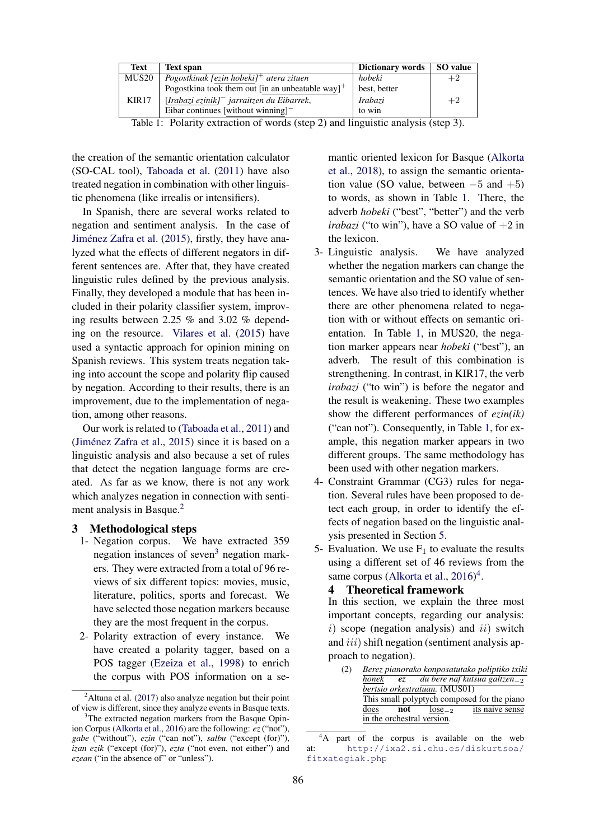<span id="page-1-4"></span>

| Text  | <b>Text span</b>                                             | Dictionary words | SO value |
|-------|--------------------------------------------------------------|------------------|----------|
| MUS20 | Pogostkinak [ezin hobeki] <sup>+</sup> atera zituen          | hobeki           | $+2$     |
|       | Pogostkina took them out [in an unbeatable way] <sup>+</sup> | best, better     |          |
| KIR17 | $[Irabazi$ ezinik] $^-$ jarraitzen du Eibarrek,              | Irabazi          | $+2$     |
|       | Eibar continues [without winning] $-$                        | to win           |          |

Table 1: Polarity extraction of words (step 2) and linguistic analysis (step 3).

the creation of the semantic orientation calculator (SO-CAL tool), [Taboada et al.](#page-5-6) [\(2011\)](#page-5-6) have also treated negation in combination with other linguistic phenomena (like irrealis or intensifiers).

In Spanish, there are several works related to negation and sentiment analysis. In the case of Jiménez Zafra et al. [\(2015\)](#page-5-7), firstly, they have analyzed what the effects of different negators in different sentences are. After that, they have created linguistic rules defined by the previous analysis. Finally, they developed a module that has been included in their polarity classifier system, improving results between 2.25 % and 3.02 % depending on the resource. [Vilares et al.](#page-5-8) [\(2015\)](#page-5-8) have used a syntactic approach for opinion mining on Spanish reviews. This system treats negation taking into account the scope and polarity flip caused by negation. According to their results, there is an improvement, due to the implementation of negation, among other reasons.

Our work is related to [\(Taboada et al.,](#page-5-6) [2011\)](#page-5-6) and (Jiménez Zafra et al.,  $2015$ ) since it is based on a linguistic analysis and also because a set of rules that detect the negation language forms are created. As far as we know, there is not any work which analyzes negation in connection with senti-ment analysis in Basque.<sup>[2](#page-1-2)</sup>

## <span id="page-1-0"></span>3 Methodological steps

- 1- Negation corpus. We have extracted 359 negation instances of seven<sup>[3](#page-1-3)</sup> negation markers. They were extracted from a total of 96 reviews of six different topics: movies, music, literature, politics, sports and forecast. We have selected those negation markers because they are the most frequent in the corpus.
- 2- Polarity extraction of every instance. We have created a polarity tagger, based on a POS tagger [\(Ezeiza et al.,](#page-5-9) [1998\)](#page-5-9) to enrich the corpus with POS information on a se-

mantic oriented lexicon for Basque [\(Alkorta](#page-5-2) [et al.,](#page-5-2) [2018\)](#page-5-2), to assign the semantic orientation value (SO value, between  $-5$  and  $+5$ ) to words, as shown in Table [1.](#page-1-4) There, the adverb *hobeki* ("best", "better") and the verb *irabazi* ("to win"), have a SO value of  $+2$  in the lexicon.

- 3- Linguistic analysis. We have analyzed whether the negation markers can change the semantic orientation and the SO value of sentences. We have also tried to identify whether there are other phenomena related to negation with or without effects on semantic orientation. In Table [1,](#page-1-4) in MUS20, the negation marker appears near *hobeki* ("best"), an adverb. The result of this combination is strengthening. In contrast, in KIR17, the verb *irabazi* ("to win") is before the negator and the result is weakening. These two examples show the different performances of *ezin(ik)* ("can not"). Consequently, in Table [1,](#page-1-4) for example, this negation marker appears in two different groups. The same methodology has been used with other negation markers.
- 4- Constraint Grammar (CG3) rules for negation. Several rules have been proposed to detect each group, in order to identify the effects of negation based on the linguistic analysis presented in Section [5.](#page-2-0)
- 5- Evaluation. We use  $F_1$  to evaluate the results using a different set of 46 reviews from the same corpus [\(Alkorta et al.,](#page-5-11) [2016\)](#page-5-11)<sup>[4](#page-1-5)</sup>.

## <span id="page-1-1"></span>4 Theoretical framework

In this section, we explain the three most important concepts, regarding our analysis:  $i)$  scope (negation analysis) and  $ii)$  switch and  $iii$ ) shift negation (sentiment analysis approach to negation).

<span id="page-1-6"></span>

|       |            |                               | Berez pianorako konposatutako poliptiko txiki |
|-------|------------|-------------------------------|-----------------------------------------------|
| honek | <b>e</b> z |                               | du bere naf kutsua galtzen $_{-2}$            |
|       |            | bertsio orkestratuan. (MUS01) |                                               |
|       |            |                               | This small polyptych composed for the piano   |
| does  | not        | $lose_{-2}$                   | its naive sense                               |
|       |            | in the orchestral version.    |                                               |

<span id="page-1-5"></span><sup>&</sup>lt;sup>4</sup>A part of the corpus is available on the web at: [http://ixa2.si.ehu.es/diskurtsoa/](http://ixa2.si.ehu.es/diskurtsoa/fitxategiak.php) [fitxategiak.php](http://ixa2.si.ehu.es/diskurtsoa/fitxategiak.php)

<span id="page-1-2"></span><sup>&</sup>lt;sup>2</sup>Altuna et al. [\(2017\)](#page-5-10) also analyze negation but their point of view is different, since they analyze events in Basque texts.

<span id="page-1-3"></span><sup>&</sup>lt;sup>3</sup>The extracted negation markers from the Basque Opinion Corpus [\(Alkorta et al.,](#page-5-11) [2016\)](#page-5-11) are the following: *ez*("not"), *gabe* ("without"), *ezin* ("can not"), *salbu* ("except (for)"), *izan ezik* ("except (for)"), *ezta* ("not even, not either") and *ezean* ("in the absence of" or "unless").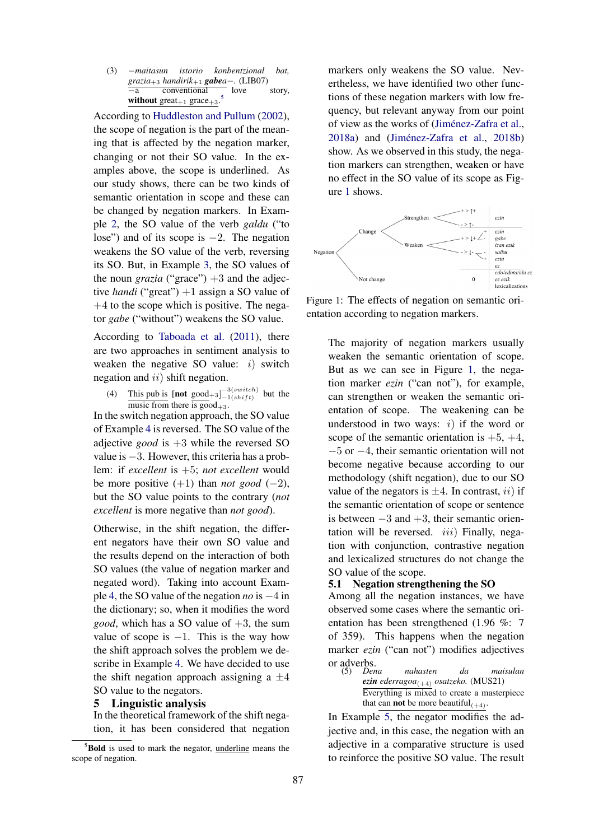<span id="page-2-2"></span>(3) −*maitasun istorio konbentzional bat, grazia*+3 *handirik*+1 *gabea*−*.* (LIB07) −a conventional love story, without great<sub>+1</sub> grace<sub>+3</sub>. [5](#page-2-1)

According to [Huddleston and Pullum](#page-5-12) [\(2002\)](#page-5-12), the scope of negation is the part of the meaning that is affected by the negation marker, changing or not their SO value. In the examples above, the scope is underlined. As our study shows, there can be two kinds of semantic orientation in scope and these can be changed by negation markers. In Example [2,](#page-1-6) the SO value of the verb *galdu* ("to lose") and of its scope is −2. The negation weakens the SO value of the verb, reversing its SO. But, in Example [3,](#page-2-2) the SO values of the noun *grazia* ("grace")  $+3$  and the adjective *handi* ("great") +1 assign a SO value of  $+4$  to the scope which is positive. The negator *gabe* ("without") weakens the SO value.

According to [Taboada et al.](#page-5-6) [\(2011\)](#page-5-6), there are two approaches in sentiment analysis to weaken the negative SO value:  $i)$  switch negation and *ii*) shift negation.

<span id="page-2-3"></span>(4) This pub is  $\left[\text{not good}_{+3}\right]_{-1(shift)}^{-3(switch)}$  but the music from there is  $\text{good}_{+3}$ .

In the switch negation approach, the SO value of Example [4](#page-2-3) is reversed. The SO value of the adjective *good* is +3 while the reversed SO value is −3. However, this criteria has a problem: if *excellent* is +5; *not excellent* would be more positive  $(+1)$  than *not good*  $(-2)$ , but the SO value points to the contrary (*not excellent* is more negative than *not good*).

Otherwise, in the shift negation, the different negators have their own SO value and the results depend on the interaction of both SO values (the value of negation marker and negated word). Taking into account Example [4,](#page-2-3) the SO value of the negation *no* is −4 in the dictionary; so, when it modifies the word *good*, which has a SO value of  $+3$ , the sum value of scope is  $-1$ . This is the way how the shift approach solves the problem we describe in Example [4.](#page-2-3) We have decided to use the shift negation approach assigning a  $\pm 4$ SO value to the negators.

#### <span id="page-2-0"></span>5 Linguistic analysis

In the theoretical framework of the shift negation, it has been considered that negation markers only weakens the SO value. Nevertheless, we have identified two other functions of these negation markers with low frequency, but relevant anyway from our point of view as the works of (Jiménez-Zafra et al.,  $2018a$ ) and (Jiménez-Zafra et al.,  $2018b$ ) show. As we observed in this study, the negation markers can strengthen, weaken or have no effect in the SO value of its scope as Figure [1](#page-2-4) shows.

<span id="page-2-4"></span>

Figure 1: The effects of negation on semantic orientation according to negation markers.

The majority of negation markers usually weaken the semantic orientation of scope. But as we can see in Figure [1,](#page-2-4) the negation marker *ezin* ("can not"), for example, can strengthen or weaken the semantic orientation of scope. The weakening can be understood in two ways:  $i$ ) if the word or scope of the semantic orientation is  $+5, +4,$ −5 or −4, their semantic orientation will not become negative because according to our methodology (shift negation), due to our SO value of the negators is  $\pm 4$ . In contrast, *ii*) if the semantic orientation of scope or sentence is between  $-3$  and  $+3$ , their semantic orientation will be reversed.  $iii)$  Finally, negation with conjunction, contrastive negation and lexicalized structures do not change the SO value of the scope.

### 5.1 Negation strengthening the SO

Among all the negation instances, we have observed some cases where the semantic orientation has been strengthened (1.96 %: 7 of 359). This happens when the negation marker *ezin* ("can not") modifies adjectives or adverbs. (5) *Dena nahasten da maisulan*

<span id="page-2-5"></span> $e\overline{z}$ *in ederragoa*<sub>(+4)</sub> *osatzeko.* (MUS21) Everything is mixed to create a masterpiece that can **not** be more beautiful $(+4)$ .

In Example [5,](#page-2-5) the negator modifies the adjective and, in this case, the negation with an adjective in a comparative structure is used to reinforce the positive SO value. The result

<span id="page-2-1"></span> $5$ Bold is used to mark the negator, underline means the scope of negation.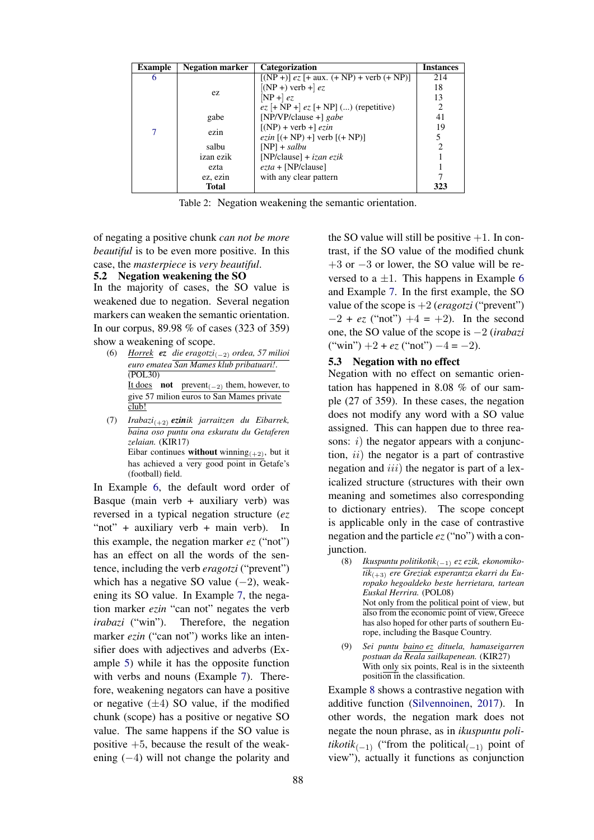| <b>Example</b> | <b>Negation marker</b> | Categorization                               | <b>Instances</b> |
|----------------|------------------------|----------------------------------------------|------------------|
| 6              |                        | $[(NP +)]$ ez [+ aux. (+ NP) + verb (+ NP)]  | 214              |
|                |                        | $[$ (NP +) verb + $\left $ ez                | 18               |
|                | ez.                    | $[NP +]$ ez                                  | 13               |
|                |                        | $ez$ [+ NP +] $ez$ [+ NP] () (repetitive)    |                  |
|                | gabe                   | [NP/VP/clause $+$ ] gabe                     | 41               |
|                |                        | $[(NP) + verb +] ezin$                       | 19               |
|                | ezin                   | <i>ezin</i> $[ (+ NP) + ]$ verb $[ (+ NP) ]$ | 5                |
|                | salbu                  | $[NP]$ + salbu                               | 2                |
|                | izan ezik              | [NP/clause] + $iza$ n ezik                   |                  |
|                | ezta                   | $ezta + [NP/clause]$                         |                  |
|                | ez, ezin               | with any clear pattern                       |                  |
|                | <b>Total</b>           |                                              | 323              |

Table 2: Negation weakening the semantic orientation.

of negating a positive chunk *can not be more beautiful* is to be even more positive. In this case, the *masterpiece* is *very beautiful*.

### 5.2 Negation weakening the SO

In the majority of cases, the SO value is weakened due to negation. Several negation markers can weaken the semantic orientation. In our corpus, 89.98 % of cases (323 of 359) show a weakening of scope.

- <span id="page-3-0"></span>(6) *Horrek ez die eragotzi*(−2) *ordea, 57 milioi euro ematea San Mames klub pribatuari!*. (POL30) It does **not** prevent<sub>(−2)</sub> them, however, to give 57 milion euros to San Mames private club!
- <span id="page-3-1"></span>(7) *Irabazi*(+2) *ezinik jarraitzen du Eibarrek, baina oso puntu ona eskuratu du Getaferen zelaian.* (KIR17) Eibar continues without winning<sub> $(+2)$ </sub>, but it has achieved a very good point in Getafe's (football) field.

In Example [6,](#page-3-0) the default word order of Basque (main verb  $+$  auxiliary verb) was reversed in a typical negation structure (*ez* "not" + auxiliary verb + main verb). In this example, the negation marker  $ez$  ("not") has an effect on all the words of the sentence, including the verb *eragotzi* ("prevent") which has a negative SO value  $(-2)$ , weakening its SO value. In Example [7,](#page-3-1) the negation marker *ezin* "can not" negates the verb *irabazi* ("win"). Therefore, the negation marker *ezin* ("can not") works like an intensifier does with adjectives and adverbs (Example [5\)](#page-2-5) while it has the opposite function with verbs and nouns (Example [7\)](#page-3-1). Therefore, weakening negators can have a positive or negative  $(\pm 4)$  SO value, if the modified chunk (scope) has a positive or negative SO value. The same happens if the SO value is positive  $+5$ , because the result of the weakening (−4) will not change the polarity and the SO value will still be positive  $+1$ . In contrast, if the SO value of the modified chunk  $+3$  or  $-3$  or lower, the SO value will be reversed to a  $\pm 1$ . This happens in Example [6](#page-3-0) and Example [7.](#page-3-1) In the first example, the SO value of the scope is +2 (*eragotzi* ("prevent")  $-2 + ez$  ("not")  $+4 = +2$ ). In the second one, the SO value of the scope is −2 (*irabazi*  $("win") +2 + ez ("not") -4 = -2.$ 

## 5.3 Negation with no effect

Negation with no effect on semantic orientation has happened in 8.08 % of our sample (27 of 359). In these cases, the negation does not modify any word with a SO value assigned. This can happen due to three reasons:  $i)$  the negator appears with a conjunction,  $ii)$  the negator is a part of contrastive negation and  $iii$ ) the negator is part of a lexicalized structure (structures with their own meaning and sometimes also corresponding to dictionary entries). The scope concept is applicable only in the case of contrastive negation and the particle *ez*("no") with a conjunction.<br>(8)  $\frac{1}{4}$ 

- <span id="page-3-2"></span>(8) *Ikuspuntu politikotik*(−1) *ez ezik, ekonomikotik*(+3) *ere Greziak esperantza ekarri du Europako hegoaldeko beste herrietara, tartean Euskal Herrira.* (POL08) Not only from the political point of view, but also from the economic point of view, Greece has also hoped for other parts of southern Europe, including the Basque Country.
- <span id="page-3-3"></span>(9) *Sei puntu baino ez dituela, hamaseigarren postuan da Reala sailkapenean.* (KIR27) With only six points, Real is in the sixteenth position in the classification.

Example [8](#page-3-2) shows a contrastive negation with additive function [\(Silvennoinen,](#page-5-14) [2017\)](#page-5-14). In other words, the negation mark does not negate the noun phrase, as in *ikuspuntu politikotik*<sub>(−1)</sub> ("from the political<sub>(−1)</sub> point of view"), actually it functions as conjunction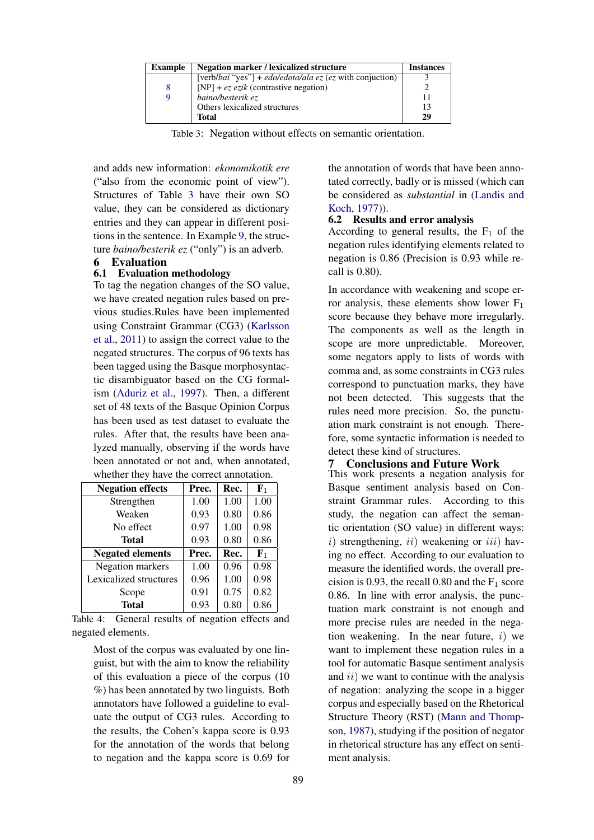<span id="page-4-2"></span>

| <b>Example</b> | Negation marker / lexicalized structure                  | <b>Instances</b> |
|----------------|----------------------------------------------------------|------------------|
|                | [verb/bai "yes"] + edo/edota/ala ez (ez with conjuction) |                  |
| 8              | [NP] + $ez \, ezik$ (contrastive negation)               |                  |
|                | baino/besterik ez                                        |                  |
|                | Others lexicalized structures                            | 13               |
|                | Total                                                    | 29               |

Table 3: Negation without effects on semantic orientation.

and adds new information: *ekonomikotik ere* ("also from the economic point of view"). Structures of Table [3](#page-4-2) have their own SO value, they can be considered as dictionary entries and they can appear in different positions in the sentence. In Example [9,](#page-3-3) the structure *baino/besterik ez* ("only") is an adverb.

## <span id="page-4-0"></span>6 Evaluation

## 6.1 Evaluation methodology

To tag the negation changes of the SO value, we have created negation rules based on previous studies.Rules have been implemented using Constraint Grammar (CG3) [\(Karlsson](#page-5-3) [et al.,](#page-5-3) [2011\)](#page-5-3) to assign the correct value to the negated structures. The corpus of 96 texts has been tagged using the Basque morphosyntactic disambiguator based on the CG formalism [\(Aduriz et al.,](#page-5-15) [1997\)](#page-5-15). Then, a different set of 48 texts of the Basque Opinion Corpus has been used as test dataset to evaluate the rules. After that, the results have been analyzed manually, observing if the words have been annotated or not and, when annotated, whether they have the correct annotation.

| <b>Negation effects</b> | Prec. | Rec. | $\mathbf{F}_1$ |
|-------------------------|-------|------|----------------|
| Strengthen              | 1.00  | 1.00 | 1.00           |
| Weaken                  | 0.93  | 0.80 | 0.86           |
| No effect               | 0.97  | 1.00 | 0.98           |
| Total                   | 0.93  | 0.80 | 0.86           |
| <b>Negated elements</b> | Prec. | Rec. | ${\bf F}_1$    |
| Negation markers        | 1.00  | 0.96 | 0.98           |
|                         |       |      |                |
| Lexicalized structures  | 0.96  | 1.00 | 0.98           |
| Scope                   | 0.91  | 0.75 | 0.82           |

Table 4: General results of negation effects and negated elements.

Most of the corpus was evaluated by one linguist, but with the aim to know the reliability of this evaluation a piece of the corpus (10 %) has been annotated by two linguists. Both annotators have followed a guideline to evaluate the output of CG3 rules. According to the results, the Cohen's kappa score is 0.93 for the annotation of the words that belong to negation and the kappa score is 0.69 for the annotation of words that have been annotated correctly, badly or is missed (which can be considered as *substantial* in [\(Landis and](#page-5-16) [Koch,](#page-5-16) [1977\)](#page-5-16)).

#### 6.2 Results and error analysis

According to general results, the  $F_1$  of the negation rules identifying elements related to negation is 0.86 (Precision is 0.93 while recall is 0.80).

In accordance with weakening and scope error analysis, these elements show lower  $F_1$ score because they behave more irregularly. The components as well as the length in scope are more unpredictable. Moreover, some negators apply to lists of words with comma and, as some constraints in CG3 rules correspond to punctuation marks, they have not been detected. This suggests that the rules need more precision. So, the punctuation mark constraint is not enough. Therefore, some syntactic information is needed to detect these kind of structures.

## <span id="page-4-1"></span>7 Conclusions and Future Work

This work presents a negation analysis for Basque sentiment analysis based on Constraint Grammar rules. According to this study, the negation can affect the semantic orientation (SO value) in different ways:  $i)$  strengthening,  $ii)$  weakening or  $iii)$  having no effect. According to our evaluation to measure the identified words, the overall precision is 0.93, the recall 0.80 and the  $F_1$  score 0.86. In line with error analysis, the punctuation mark constraint is not enough and more precise rules are needed in the negation weakening. In the near future,  $i$ ) we want to implement these negation rules in a tool for automatic Basque sentiment analysis and  $ii)$  we want to continue with the analysis of negation: analyzing the scope in a bigger corpus and especially based on the Rhetorical Structure Theory (RST) [\(Mann and Thomp](#page-5-17)[son,](#page-5-17) [1987\)](#page-5-17), studying if the position of negator in rhetorical structure has any effect on sentiment analysis.